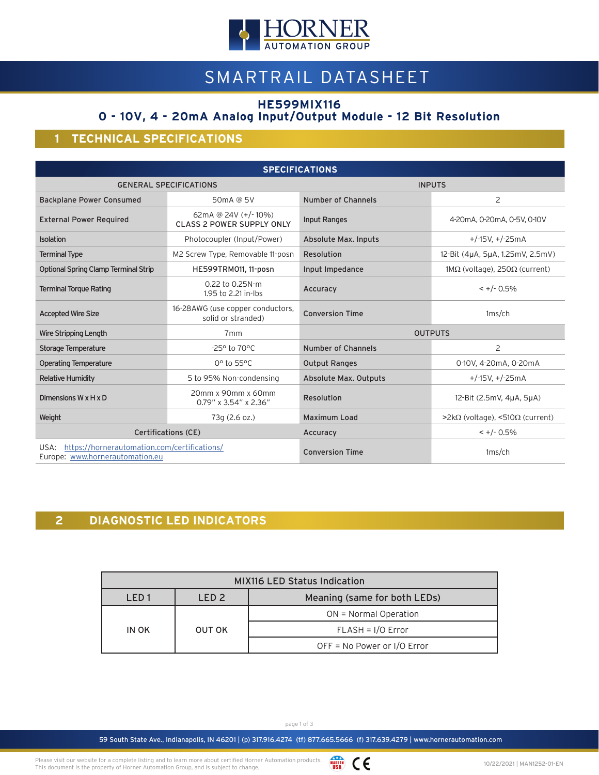

# SMARTRAIL DATASHEET

**HE599MIX116**

## **0 - 10V, 4 - 20mA Analog Input/Output Module - 12 Bit Resolution**

### **1 TECHNICAL SPECIFICATIONS**

| <b>SPECIFICATIONS</b>                                                                   |                                                         |                              |                                    |  |
|-----------------------------------------------------------------------------------------|---------------------------------------------------------|------------------------------|------------------------------------|--|
|                                                                                         | <b>GENERAL SPECIFICATIONS</b>                           | <b>INPUTS</b>                |                                    |  |
| <b>Backplane Power Consumed</b>                                                         | 50mA @ 5V                                               | Number of Channels           | 2                                  |  |
| <b>External Power Required</b>                                                          | 62mA @ 24V (+/-10%)<br><b>CLASS 2 POWER SUPPLY ONLY</b> | <b>Input Ranges</b>          | 4-20mA, 0-20mA, 0-5V, 0-10V        |  |
| Isolation                                                                               | Photocoupler (Input/Power)                              | Absolute Max. Inputs         | $+/-15V, +/-25mA$                  |  |
| <b>Terminal Type</b>                                                                    | M2 Screw Type, Removable 11-posn                        | Resolution                   | 12-Bit (4µA, 5µA, 1.25mV, 2.5mV)   |  |
| <b>Optional Spring Clamp Terminal Strip</b>                                             | HE599TRM011, 11-posn                                    | Input Impedance              | $1MΩ$ (voltage), 250 $Ω$ (current) |  |
| <b>Terminal Torque Rating</b>                                                           | 0.22 to 0.25N-m<br>1.95 to 2.21 in-lbs                  | Accuracy                     | $< +/- 0.5\%$                      |  |
| <b>Accepted Wire Size</b>                                                               | 16-28AWG (use copper conductors,<br>solid or stranded)  | <b>Conversion Time</b>       | $1ms$ /ch                          |  |
| <b>Wire Stripping Length</b>                                                            | 7 <sub>mm</sub>                                         | <b>OUTPUTS</b>               |                                    |  |
| <b>Storage Temperature</b>                                                              | $-25^{\circ}$ to 70 $^{\circ}$ C                        | Number of Channels           | $\overline{2}$                     |  |
| <b>Operating Temperature</b>                                                            | 0° to 55°C                                              | <b>Output Ranges</b>         | 0-10V, 4-20mA, 0-20mA              |  |
| <b>Relative Humidity</b>                                                                | 5 to 95% Non-condensing                                 | <b>Absolute Max. Outputs</b> | $+/-15V, +/-25mA$                  |  |
| Dimensions W x H x D                                                                    | 20mm x 90mm x 60mm<br>0.79" x 3.54" x 2.36"             | Resolution                   | 12-Bit (2.5mV, 4µA, 5µA)           |  |
| Weight                                                                                  | 73g (2.6 oz.)                                           | <b>Maximum Load</b>          | $>$ 2kΩ (voltage), <510Ω (current) |  |
| Certifications (CE)                                                                     |                                                         | Accuracy                     | $\lt$ +/- 0.5%                     |  |
| https://hornerautomation.com/certifications/<br>USA:<br>Europe: www.hornerautomation.eu |                                                         | <b>Conversion Time</b>       | $1ms$ /ch                          |  |

## **2 DIAGNOSTIC LED INDICATORS**

| <b>MIX116 LED Status Indication</b> |                  |                              |  |  |
|-------------------------------------|------------------|------------------------------|--|--|
| IFD1                                | LED <sub>2</sub> | Meaning (same for both LEDs) |  |  |
| IN OK                               | OUT OK           | $ON = Normal Operation$      |  |  |
|                                     |                  | $FLASH = I/O Error$          |  |  |
|                                     |                  | OFF = No Power or I/O Error  |  |  |

page 1 of 3

59 South State Ave., Indianapolis, IN 46201 | (p) 317.916.4274 (tf) 877.665.5666 (f) 317.639.4279 | www.hornerautomation.com

Please visit our website for a complete listing and to learn more about certified Horner Automation products. This document is the property of Horner Automation Group, and is subject to change.

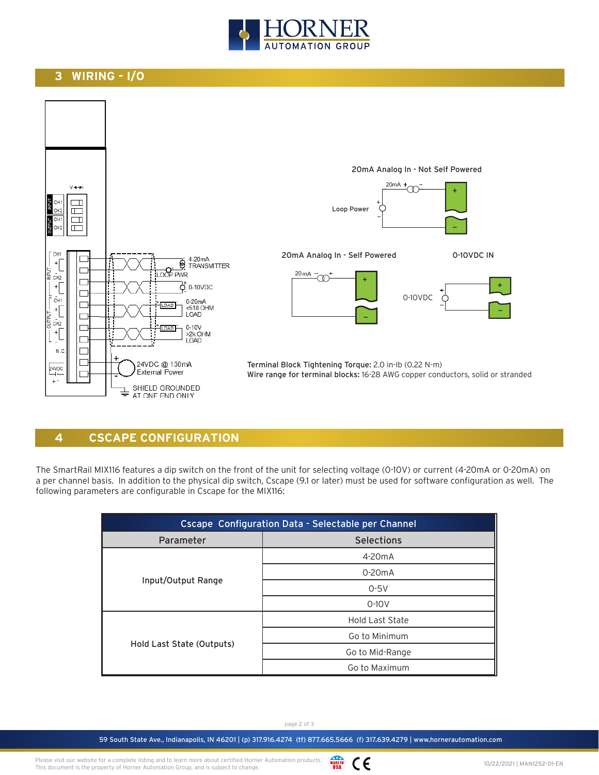

#### **3 WIRING - I/O**



#### **4 CSCAPE CONFIGURATION**

The SmartRail MIX116 features a dip switch on the front of the unit for selecting voltage (0-10V) or current (4-20mA or 0-20mA) on a per channel basis. In addition to the physical dip switch, Cscape (9.1 or later) must be used for software configuration as well. The following parameters are configurable in Cscape for the MIX116:

| Cscape Configuration Data - Selectable per Channel |                        |  |  |
|----------------------------------------------------|------------------------|--|--|
| Parameter                                          | <b>Selections</b>      |  |  |
|                                                    | $4-20mA$               |  |  |
|                                                    | $0-20mA$               |  |  |
| Input/Output Range                                 | $0-5V$                 |  |  |
|                                                    | $0-10V$                |  |  |
|                                                    | <b>Hold Last State</b> |  |  |
|                                                    | Go to Minimum          |  |  |
| Hold Last State (Outputs)                          | Go to Mid-Range        |  |  |
|                                                    | Go to Maximum          |  |  |

page 2 of 3

59 South State Ave., Indianapolis, IN 46201 | (p) 317.916.4274 (tf) 877.665.5666 (f) 317.639.4279 | www.hornerautomation.com